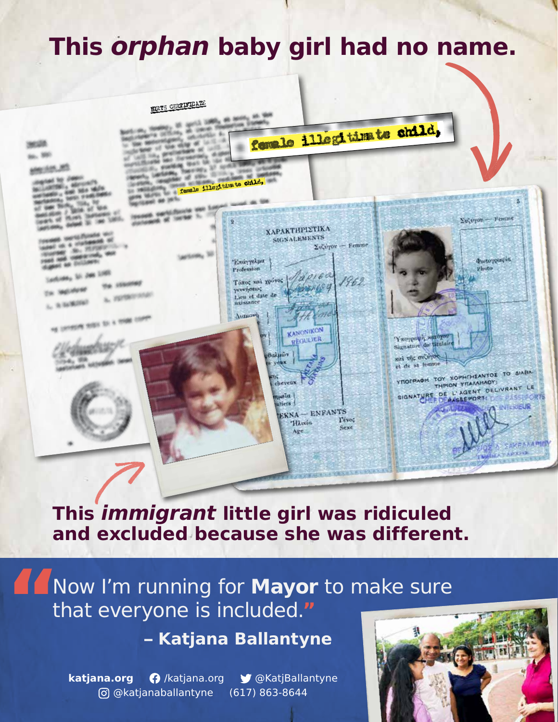## **This** *orphan* **baby girl had no name.**



**This** *immigrant* **little girl was ridiculed and excluded because she was different.**

Now I'm running for **Mayor** to make sure that everyone is included.**"**

**– Katjana Ballantyne**

**katjana.org** /katjana.org @KatjBallantyne @katjanaballantyne (617) 863-8644